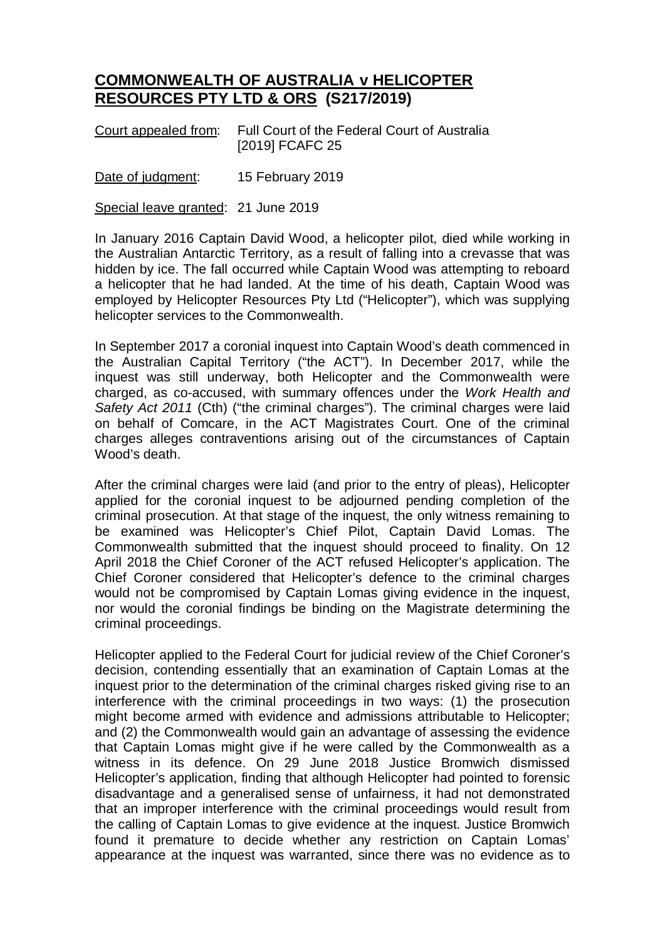## **COMMONWEALTH OF AUSTRALIA v HELICOPTER RESOURCES PTY LTD & ORS (S217/2019)**

| Court appealed from: | Full Court of the Federal Court of Australia |
|----------------------|----------------------------------------------|
|                      | [2019] FCAFC 25                              |

Date of judgment: 15 February 2019

Special leave granted: 21 June 2019

In January 2016 Captain David Wood, a helicopter pilot, died while working in the Australian Antarctic Territory, as a result of falling into a crevasse that was hidden by ice. The fall occurred while Captain Wood was attempting to reboard a helicopter that he had landed. At the time of his death, Captain Wood was employed by Helicopter Resources Pty Ltd ("Helicopter"), which was supplying helicopter services to the Commonwealth.

In September 2017 a coronial inquest into Captain Wood's death commenced in the Australian Capital Territory ("the ACT"). In December 2017, while the inquest was still underway, both Helicopter and the Commonwealth were charged, as co-accused, with summary offences under the *Work Health and Safety Act 2011* (Cth) ("the criminal charges"). The criminal charges were laid on behalf of Comcare, in the ACT Magistrates Court. One of the criminal charges alleges contraventions arising out of the circumstances of Captain Wood's death.

After the criminal charges were laid (and prior to the entry of pleas), Helicopter applied for the coronial inquest to be adjourned pending completion of the criminal prosecution. At that stage of the inquest, the only witness remaining to be examined was Helicopter's Chief Pilot, Captain David Lomas. The Commonwealth submitted that the inquest should proceed to finality. On 12 April 2018 the Chief Coroner of the ACT refused Helicopter's application. The Chief Coroner considered that Helicopter's defence to the criminal charges would not be compromised by Captain Lomas giving evidence in the inquest, nor would the coronial findings be binding on the Magistrate determining the criminal proceedings.

Helicopter applied to the Federal Court for judicial review of the Chief Coroner's decision, contending essentially that an examination of Captain Lomas at the inquest prior to the determination of the criminal charges risked giving rise to an interference with the criminal proceedings in two ways: (1) the prosecution might become armed with evidence and admissions attributable to Helicopter; and (2) the Commonwealth would gain an advantage of assessing the evidence that Captain Lomas might give if he were called by the Commonwealth as a witness in its defence. On 29 June 2018 Justice Bromwich dismissed Helicopter's application, finding that although Helicopter had pointed to forensic disadvantage and a generalised sense of unfairness, it had not demonstrated that an improper interference with the criminal proceedings would result from the calling of Captain Lomas to give evidence at the inquest. Justice Bromwich found it premature to decide whether any restriction on Captain Lomas' appearance at the inquest was warranted, since there was no evidence as to